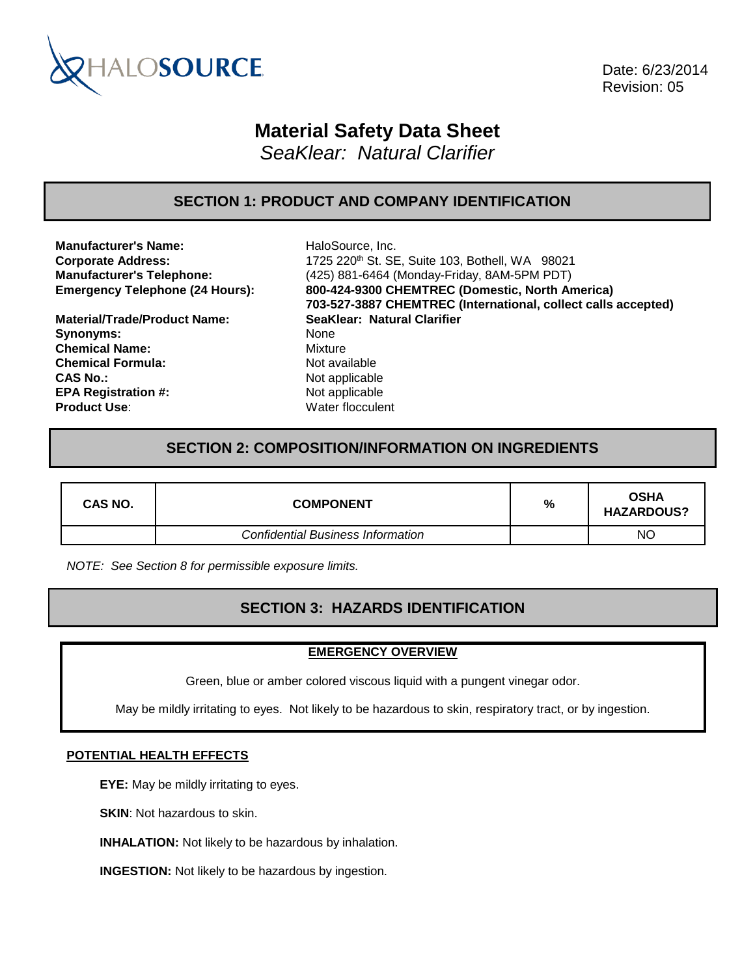

 Date: 6/23/2014 Revision: 05

# **Material Safety Data Sheet**

*SeaKlear: Natural Clarifier*

### **SECTION 1: PRODUCT AND COMPANY IDENTIFICATION**

**Manufacturer's Name:** HaloSource, Inc.

**Material/Trade/Product Name: SeaKlear: Natural Clarifier Synonyms:** None **Chemical Name:** Mixture **Chemical Formula:** Not available **CAS No.:** Not applicable **EPA Registration #:** Not applicable **Product Use:** Water flocculent

**Corporate Address:** 1725 220th St. SE, Suite 103, Bothell, WA 98021 **Manufacturer's Telephone:** (425) 881-6464 (Monday-Friday, 8AM-5PM PDT) **Emergency Telephone (24 Hours): 800-424-9300 CHEMTREC (Domestic, North America) 703-527-3887 CHEMTREC (International, collect calls accepted)**

### **SECTION 2: COMPOSITION/INFORMATION ON INGREDIENTS**

| CAS NO. | <b>COMPONENT</b>                         | % | <b>OSHA</b><br><b>HAZARDOUS?</b> |
|---------|------------------------------------------|---|----------------------------------|
|         | <b>Confidential Business Information</b> |   | NO                               |

*NOTE: See Section 8 for permissible exposure limits.*

### **SECTION 3: HAZARDS IDENTIFICATION**

#### **EMERGENCY OVERVIEW**

Green, blue or amber colored viscous liquid with a pungent vinegar odor.

May be mildly irritating to eyes. Not likely to be hazardous to skin, respiratory tract, or by ingestion.

#### **POTENTIAL HEALTH EFFECTS**

**EYE:** May be mildly irritating to eyes.

**SKIN:** Not hazardous to skin.

**INHALATION:** Not likely to be hazardous by inhalation.

**INGESTION:** Not likely to be hazardous by ingestion.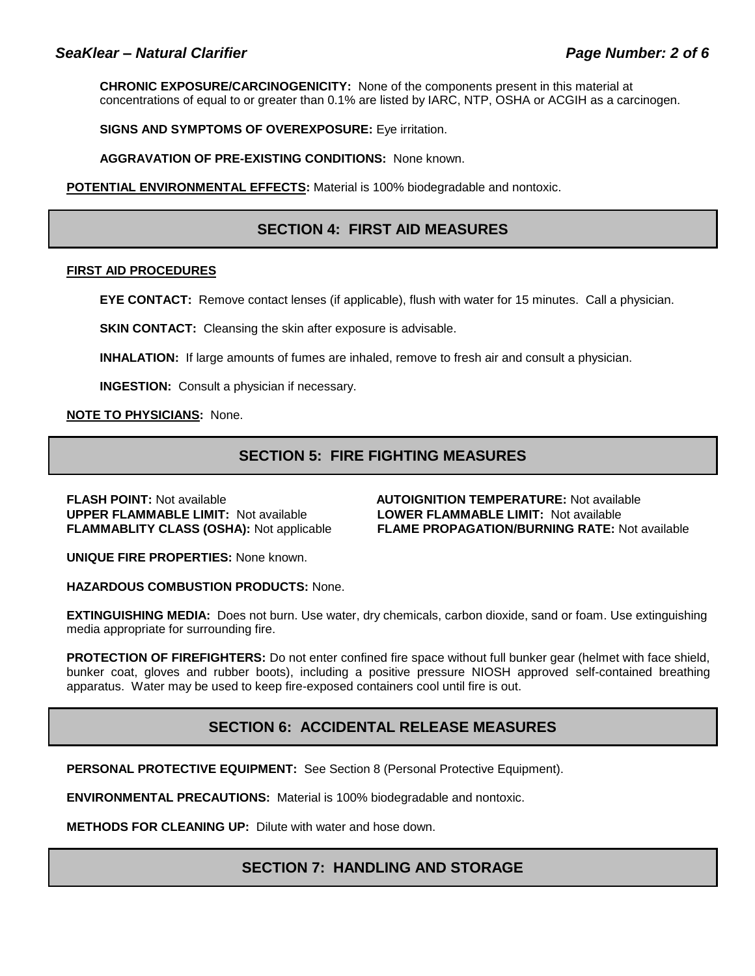**CHRONIC EXPOSURE/CARCINOGENICITY:** None of the components present in this material at concentrations of equal to or greater than 0.1% are listed by IARC, NTP, OSHA or ACGIH as a carcinogen.

**SIGNS AND SYMPTOMS OF OVEREXPOSURE:** Eye irritation.

**AGGRAVATION OF PRE-EXISTING CONDITIONS:** None known.

**POTENTIAL ENVIRONMENTAL EFFECTS:** Material is 100% biodegradable and nontoxic.

### **SECTION 4: FIRST AID MEASURES**

#### **FIRST AID PROCEDURES**

**EYE CONTACT:** Remove contact lenses (if applicable), flush with water for 15 minutes. Call a physician.

**SKIN CONTACT:** Cleansing the skin after exposure is advisable.

**INHALATION:** If large amounts of fumes are inhaled, remove to fresh air and consult a physician.

**INGESTION:** Consult a physician if necessary.

**NOTE TO PHYSICIANS:** None.

### **SECTION 5: FIRE FIGHTING MEASURES**

**FLASH POINT:** Not available **AUTOIGNITION TEMPERATURE:** Not available **UPPER FLAMMABLE LIMIT:** Not available **LOWER FLAMMABLE LIMIT:** Not available

**FLAMMABLITY CLASS (OSHA):** Not applicable **FLAME PROPAGATION/BURNING RATE:** Not available

**UNIQUE FIRE PROPERTIES:** None known.

**HAZARDOUS COMBUSTION PRODUCTS:** None.

**EXTINGUISHING MEDIA:** Does not burn. Use water, dry chemicals, carbon dioxide, sand or foam. Use extinguishing media appropriate for surrounding fire.

**PROTECTION OF FIREFIGHTERS:** Do not enter confined fire space without full bunker gear (helmet with face shield, bunker coat, gloves and rubber boots), including a positive pressure NIOSH approved self-contained breathing apparatus. Water may be used to keep fire-exposed containers cool until fire is out.

### **SECTION 6: ACCIDENTAL RELEASE MEASURES**

**PERSONAL PROTECTIVE EQUIPMENT:** See Section 8 (Personal Protective Equipment).

**ENVIRONMENTAL PRECAUTIONS:** Material is 100% biodegradable and nontoxic.

**METHODS FOR CLEANING UP:** Dilute with water and hose down.

### **SECTION 7: HANDLING AND STORAGE**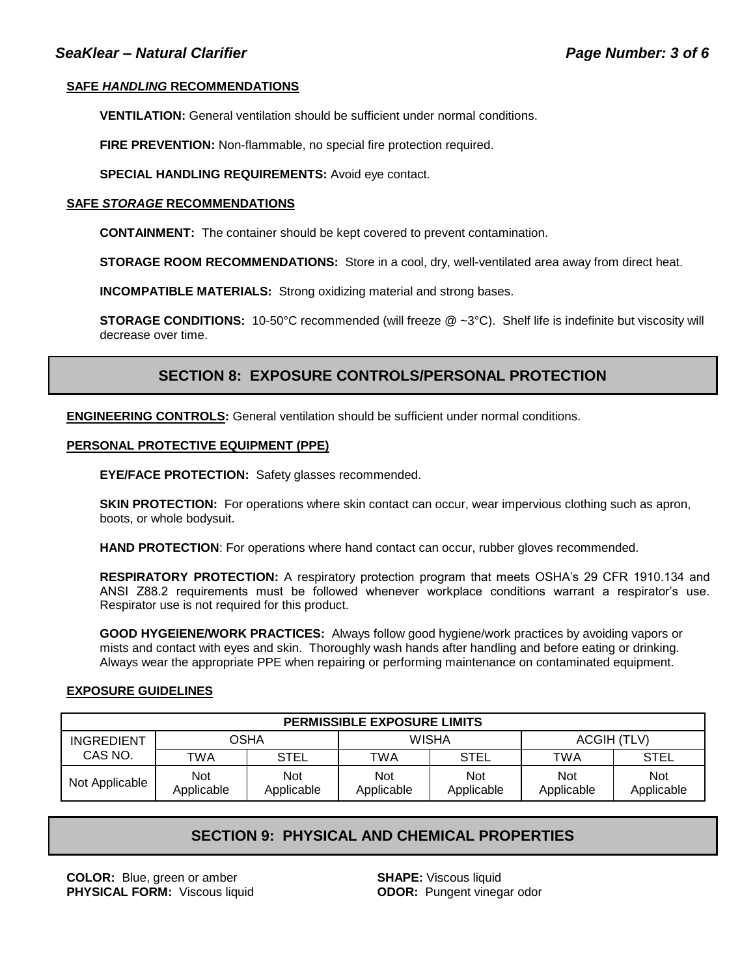#### **SAFE** *HANDLING* **RECOMMENDATIONS**

**VENTILATION:** General ventilation should be sufficient under normal conditions.

**FIRE PREVENTION:** Non-flammable, no special fire protection required.

**SPECIAL HANDLING REQUIREMENTS:** Avoid eye contact.

#### **SAFE** *STORAGE* **RECOMMENDATIONS**

**CONTAINMENT:** The container should be kept covered to prevent contamination.

**STORAGE ROOM RECOMMENDATIONS:** Store in a cool, dry, well-ventilated area away from direct heat.

**INCOMPATIBLE MATERIALS:** Strong oxidizing material and strong bases.

**STORAGE CONDITIONS:** 10-50°C recommended (will freeze @ ~3°C). Shelf life is indefinite but viscosity will decrease over time.

### **SECTION 8: EXPOSURE CONTROLS/PERSONAL PROTECTION**

**ENGINEERING CONTROLS:** General ventilation should be sufficient under normal conditions.

#### **PERSONAL PROTECTIVE EQUIPMENT (PPE)**

**EYE/FACE PROTECTION:** Safety glasses recommended.

**SKIN PROTECTION:** For operations where skin contact can occur, wear impervious clothing such as apron, boots, or whole bodysuit.

**HAND PROTECTION**: For operations where hand contact can occur, rubber gloves recommended.

**RESPIRATORY PROTECTION:** A respiratory protection program that meets OSHA's 29 CFR 1910.134 and ANSI Z88.2 requirements must be followed whenever workplace conditions warrant a respirator's use. Respirator use is not required for this product.

**GOOD HYGEIENE/WORK PRACTICES:** Always follow good hygiene/work practices by avoiding vapors or mists and contact with eyes and skin. Thoroughly wash hands after handling and before eating or drinking. Always wear the appropriate PPE when repairing or performing maintenance on contaminated equipment.

### **EXPOSURE GUIDELINES**

| <b>PERMISSIBLE EXPOSURE LIMITS</b> |                   |                          |                   |                          |                          |                   |
|------------------------------------|-------------------|--------------------------|-------------------|--------------------------|--------------------------|-------------------|
| <b>INGREDIENT</b>                  | <b>OSHA</b>       |                          | <b>WISHA</b>      |                          | ACGIH (TLV)              |                   |
| CAS NO.                            | TWA               | <b>STEL</b>              | TWA               | STEL                     | <b>TWA</b>               | <b>STEL</b>       |
| Not Applicable                     | Not<br>Applicable | <b>Not</b><br>Applicable | Not<br>Applicable | <b>Not</b><br>Applicable | <b>Not</b><br>Applicable | Not<br>Applicable |

### **SECTION 9: PHYSICAL AND CHEMICAL PROPERTIES**

**COLOR:** Blue, green or amber **SHAPE:** Viscous liquid **PHYSICAL FORM:** Viscous liquid **ODOR:** Pungent vinegar odor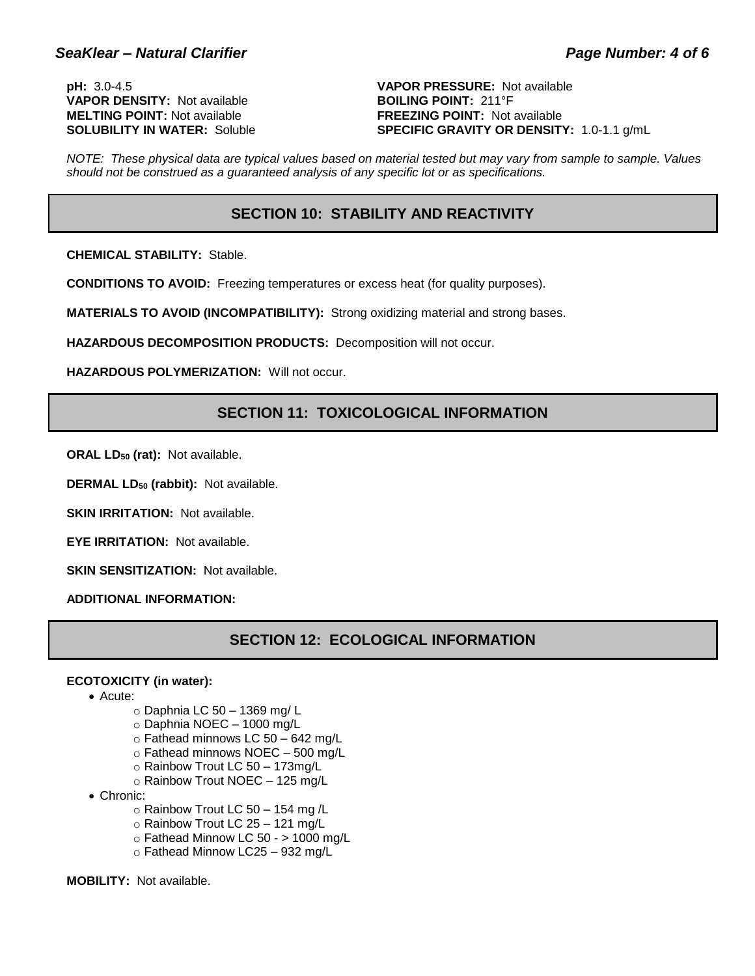**VAPOR DENSITY:** Not available **BOILING POINT:** 211°F **MELTING POINT:** Not available **FREEZING POINT:** Not available<br> **SOLUBILITY IN WATER:** Soluble **FREEZING SPECIFIC GRAVITY OR DENSIT** 

**pH:** 3.0-4.5 **VAPOR PRESSURE:** Not available **SPECIFIC GRAVITY OR DENSITY:** 1.0-1.1 g/mL

*NOTE: These physical data are typical values based on material tested but may vary from sample to sample. Values should not be construed as a guaranteed analysis of any specific lot or as specifications.*

### **SECTION 10: STABILITY AND REACTIVITY**

**CHEMICAL STABILITY:** Stable.

**CONDITIONS TO AVOID:** Freezing temperatures or excess heat (for quality purposes).

**MATERIALS TO AVOID (INCOMPATIBILITY):** Strong oxidizing material and strong bases.

**HAZARDOUS DECOMPOSITION PRODUCTS:** Decomposition will not occur.

**HAZARDOUS POLYMERIZATION:** Will not occur.

### **SECTION 11: TOXICOLOGICAL INFORMATION**

**ORAL LD<sup>50</sup> (rat):** Not available.

**DERMAL LD<sup>50</sup> (rabbit):** Not available.

**SKIN IRRITATION: Not available.** 

**EYE IRRITATION:** Not available.

**SKIN SENSITIZATION: Not available.** 

**ADDITIONAL INFORMATION:**

### **SECTION 12: ECOLOGICAL INFORMATION**

#### **ECOTOXICITY (in water):**

- Acute:
	- o Daphnia LC 50 1369 mg/ L
	- o Daphnia NOEC 1000 mg/L
	- o Fathead minnows LC 50 642 mg/L
	- o Fathead minnows NOEC 500 mg/L
	- o Rainbow Trout LC 50 173mg/L
	- o Rainbow Trout NOEC 125 mg/L
- Chronic:
	- $\circ$  Rainbow Trout LC 50 154 mg /L
	- o Rainbow Trout LC 25 121 mg/L
	- $\circ$  Fathead Minnow LC 50 > 1000 mg/L
	- o Fathead Minnow LC25 932 mg/L

**MOBILITY:** Not available.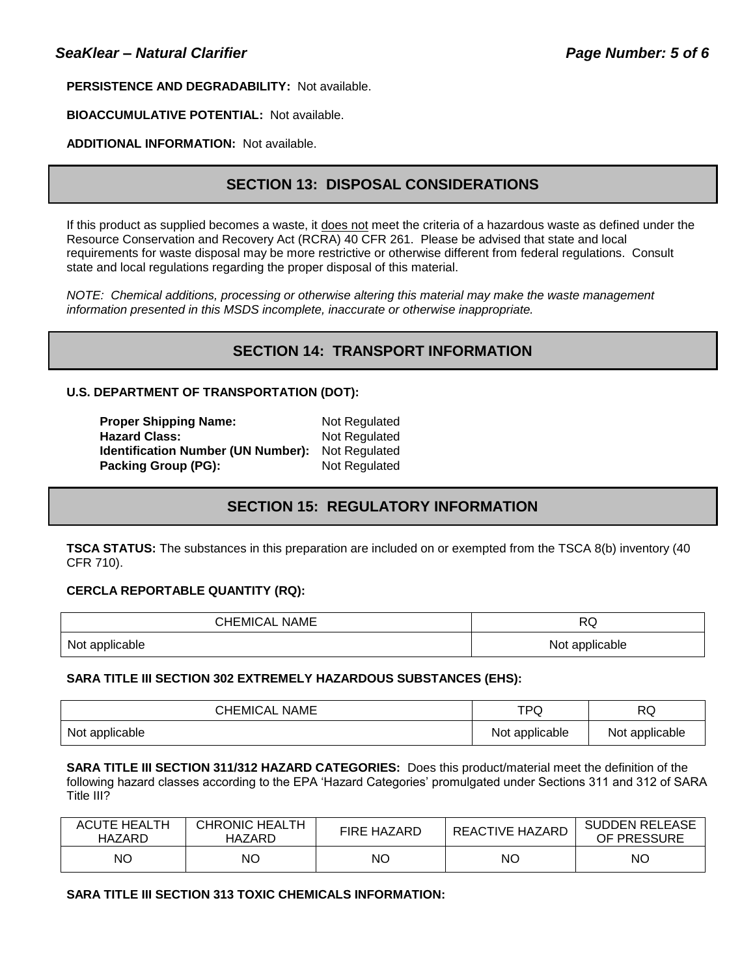#### **PERSISTENCE AND DEGRADABILITY:** Not available.

### **BIOACCUMULATIVE POTENTIAL:** Not available.

#### **ADDITIONAL INFORMATION:** Not available.

### **SECTION 13: DISPOSAL CONSIDERATIONS**

If this product as supplied becomes a waste, it does not meet the criteria of a hazardous waste as defined under the Resource Conservation and Recovery Act (RCRA) 40 CFR 261. Please be advised that state and local requirements for waste disposal may be more restrictive or otherwise different from federal regulations. Consult state and local regulations regarding the proper disposal of this material.

*NOTE: Chemical additions, processing or otherwise altering this material may make the waste management information presented in this MSDS incomplete, inaccurate or otherwise inappropriate.*

### **SECTION 14: TRANSPORT INFORMATION**

#### **U.S. DEPARTMENT OF TRANSPORTATION (DOT):**

| <b>Proper Shipping Name:</b>              | Not Regulated |
|-------------------------------------------|---------------|
| <b>Hazard Class:</b>                      | Not Regulated |
| <b>Identification Number (UN Number):</b> | Not Regulated |
| Packing Group (PG):                       | Not Regulated |

## **SECTION 15: REGULATORY INFORMATION**

**TSCA STATUS:** The substances in this preparation are included on or exempted from the TSCA 8(b) inventory (40 CFR 710).

#### **CERCLA REPORTABLE QUANTITY (RQ):**

| <b>CHEMICAL NAME</b> | DC<br>ظط       |  |
|----------------------|----------------|--|
| Not applicable       | Not applicable |  |

#### **SARA TITLE III SECTION 302 EXTREMELY HAZARDOUS SUBSTANCES (EHS):**

| <b>CHEMICAL NAME</b> | TPQ            | RQ             |
|----------------------|----------------|----------------|
| Not applicable       | Not applicable | Not applicable |

**SARA TITLE III SECTION 311/312 HAZARD CATEGORIES:** Does this product/material meet the definition of the following hazard classes according to the EPA 'Hazard Categories' promulgated under Sections 311 and 312 of SARA Title III?

| <b>ACUTE HEALTH</b><br>HAZARD | <b>CHRONIC HEALTH</b><br>HAZARD | <b>FIRE HAZARD</b> | <b>REACTIVE HAZARD</b> | <b>SUDDEN RELEASE</b><br>OF PRESSURE |
|-------------------------------|---------------------------------|--------------------|------------------------|--------------------------------------|
| ΝO                            | NΟ                              | NΟ                 | NΟ                     | <b>NO</b>                            |

#### **SARA TITLE III SECTION 313 TOXIC CHEMICALS INFORMATION:**